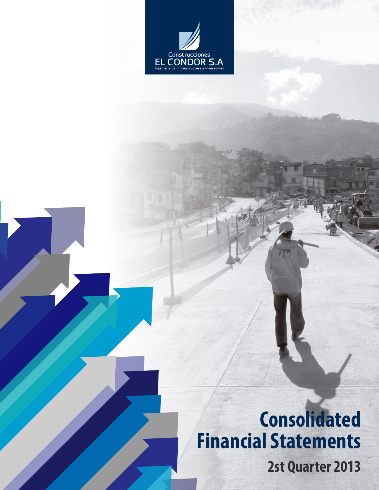

## **2st Quarter 2013 Consolidated Financial Statements**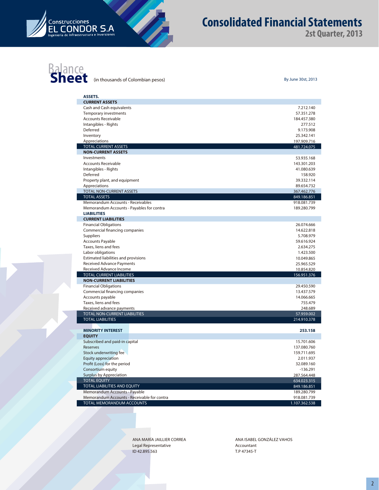

#### **Consolidated Financial Statements**

**2st Quarter, 2013**

## **Balance**<br> **Sheet** (in thousands of Colombian pesos) By June 30st, 2013

| By June 30st, 201 |  |
|-------------------|--|
|                   |  |

| <b>ASSETS.</b>                                              |                            |
|-------------------------------------------------------------|----------------------------|
| <b>CURRENT ASSETS</b>                                       |                            |
| Cash and Cash equivalents                                   | 7.212.140                  |
| <b>Temporary investments</b>                                | 57.351.278                 |
| <b>Accounts Receivable</b>                                  | 184.457.380                |
| Intangibles - Rights                                        | 277.512                    |
| Deferred                                                    | 9.173.908                  |
| Inventory                                                   | 25.342.141                 |
| Appreciations                                               | 197.909.716                |
| <b>TOTAL CURRENT ASSETS</b>                                 | 481.724.075                |
| <b>NON-CURRENT ASSETS</b><br>Investments                    | 53.935.168                 |
| <b>Accounts Receivable</b>                                  | 143.301.203                |
| Intangibles - Rights                                        | 41.080.639                 |
| Deferred                                                    | 158.920                    |
| Property plant, and equipment                               | 39.332.114                 |
| Appreciations                                               | 89.654.732                 |
| TOTAL NON-CURRENT ASSETS                                    | 367.462.776                |
| <b>TOTAL ASSETS</b>                                         | 849.186.851                |
| Memorandum Accounts - Receivables                           | 918.081.739                |
| Memorandum Accounts - Payables for contra                   | 189.280.799                |
| <b>LIABILITIES</b>                                          |                            |
| <b>CURRENT LIABILITIES</b>                                  |                            |
| <b>Financial Obligations</b>                                | 26.074.666                 |
| Commercial financing companies                              | 14.622.818                 |
| Suppliers                                                   | 5.708.979                  |
| <b>Accounts Payable</b>                                     | 59.616.924                 |
| Taxes, liens and fees                                       | 2.634.275                  |
| Labor obligations                                           | 1.423.500                  |
| Estimated liabilities and provisions                        | 10.049.865                 |
| Received Advance Payments                                   | 25.965.529                 |
| Received Advance Income<br><b>TOTAL CURRENT LIABILITIES</b> | 10.854.820<br>156.951.376  |
| <b>NON-CURRENT LIABILITIES</b>                              |                            |
| <b>Financial Obligations</b>                                | 29.450.590                 |
| Commercial financing companies                              | 13.437.579                 |
| Accounts payable                                            | 14.066.665                 |
| Taxes, liens and fees                                       | 755.479                    |
| Received advance payments                                   | 248.689                    |
| TOTAL NON-CURRENT LIABILITIES                               | 57.959.002                 |
| <b>TOTAL LIABILITIES</b>                                    | 214.910.378                |
|                                                             |                            |
| <b>MINORITY INTEREST</b>                                    | 253.158                    |
| <b>EQUITY</b>                                               |                            |
| Subscribed and paid-in capital                              | 15.701.606                 |
| Reserves                                                    | 137.080.760                |
| Stock underwriting fee                                      | 159.711.695                |
| Equity appreciation                                         | 2.011.937                  |
| Profit (Loss) for the period                                | 32.089.160                 |
| Consortium equity                                           | $-136.291$                 |
| <b>Surplus by Appreciation</b><br><b>TOTAL EQUITY</b>       | 287.564.448                |
| TOTAL LIABILITIES AND EQUITY                                | 634.023.315<br>849.186.851 |
| Memorandum Accounts - Payable                               | 189.280.799                |
| Memorandum Accounts - Receivable for contra                 | 918.081.739                |
| TOTAL MEMORANDUM ACCOUNTS                                   | 1.107.362.538              |

ANA MARÍA JAILLIER CORREA Legal Representative ID 42.895.563

ANA ISABEL GONZÁLEZ VAHOS Accountant T.P 47345-T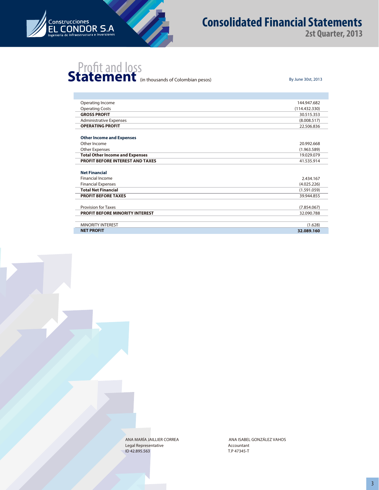

I.

#### **Consolidated Financial Statements**

**2st Quarter, 2013**

# **Statement** (in thousands of Colombian pesos) By June 30st, 2013

| Operating Income                       | 144.947.682   |
|----------------------------------------|---------------|
| <b>Operating Costs</b>                 | (114.432.330) |
| <b>GROSS PROFIT</b>                    | 30.515.353    |
| <b>Administrative Expenses</b>         | (8.008.517)   |
| <b>OPERATING PROFIT</b>                | 22.506.836    |
|                                        |               |
| <b>Other Income and Expenses</b>       |               |
| Other Income                           | 20.992.668    |
| <b>Other Expenses</b>                  | (1.963.589)   |
| <b>Total Other Income and Expenses</b> | 19.029.079    |
| PROFIT BEFORE INTEREST AND TAXES       | 41.535.914    |
|                                        |               |
| <b>Net Financial</b>                   |               |
| <b>Financial Income</b>                | 2.434.167     |
| <b>Financial Expenses</b>              | (4.025.226)   |
| <b>Total Net Financial</b>             | (1.591.059)   |
| <b>PROFIT BEFORE TAXES</b>             | 39.944.855    |
|                                        |               |
| <b>Provision for Taxes</b>             | (7.854.067)   |
| <b>PROFIT BEFORE MINORITY INTEREST</b> | 32.090.788    |
|                                        |               |
| <b>MINORITY INTEREST</b>               | (1.628)       |
| <b>NET PROFIT</b>                      | 32.089.160    |

ANA MARÍA JAILLIER CORREA Legal Representative ID 42.895.563

Accountant T.P 47345-T ANA ISABEL GONZÁLEZ VAHOS